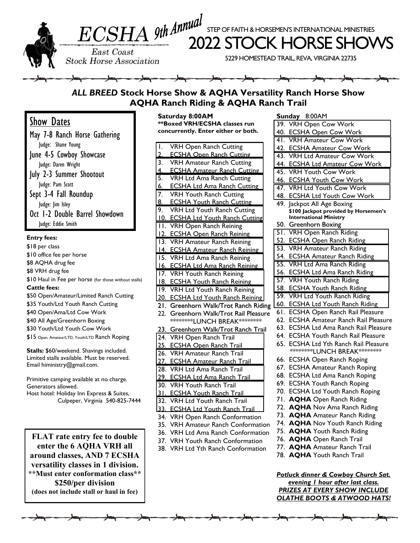

East Coast **Stock Horse Association** 

ECSHA 9th Annual Step of Faith & HORSEMEN'S INTERNATIONAL MINISTR<br>2022 STOCK HORSE SHO

STEP OF FAITH & HORSEMEN'S INTERNATIONAL MINISTRIES

5229 HOMESTEAD TRAIL, REVA, VIRGINIA 22735

## *ALL BREED* **Stock Horse Show & AQHA Versatility Ranch Horse Show AQHA Ranch Riding & AQHA Ranch Trail**

Show Dates

May 7-8 Ranch Horse Gathering Judge: Shane Young June 4-5 Cowboy Showcase Judge: Daren Wright July 2-3 Summer Shootout Judge: Pam Scott Sept 3-4 Fall Roundup Judge: Jim Isley Oct 1-2 Double Barrel Showdown Judge: Eddie Smith

## **Entry fees:**

\$18 per class \$10 office fee per horse \$8 AQHA drug fee \$8 VRH drug fee \$10 Haul in Fee per horse (for those without stalls) **Cattle fees:** \$50 Open/Amateur/Limited Ranch Cutting \$35 Youth/Ltd Youth Ranch Cutting \$40 Open/Ama/Ltd Cow Work \$40 All Age/Greenhorn Boxing \$30 Youth/Ltd Youth Cow Work \$15 Open, Amateur/LTD, Youth/LTD Ranch Roping

**Stalls:** \$60/weekend. Shavings included. Limited stalls available. Must be reserved. Email hiministry@gmail.com.

Primitive camping available at no charge. Generators allowed. Host hotel: Holiday Inn Express & Suites, Culpeper, Virginia 540-825-7444

**FLAT rate entry fee to double enter the 6 AQHA VRH all around classes, AND 7 ECSHA versatility classes in 1 division. \*\*Must enter conformation class\*\* \$250/per division (does not include stall or haul in fee)**

**Saturday 8:00AM \*\*Boxed VRH/ECSHA classes run concurrently. Enter either or both.**

| <b>VRH Open Ranch Cutting</b><br>Ï,                     |
|---------------------------------------------------------|
| $\overline{2}$<br><b>ECSHA Open Ranch Cutting</b>       |
| <b>VRH Amateur Ranch Cutting</b><br>3.                  |
| 4.<br><b>ECSHA Amateur Ranch Cutting</b>                |
| <b>VRH Ltd Ama Ranch Cutting</b><br>5.                  |
| 6.<br><b>ECSHA Ltd Ama Ranch Cutting</b>                |
| <b>VRH Youth Ranch Cutting</b><br>7.                    |
| <b>ECSHA Youth Ranch Cutting</b><br>8.                  |
| <b>VRH Ltd Youth Ranch Cutting</b><br>9.                |
| 10.<br><b>ECSHA Ltd Youth Ranch Cutting</b>             |
| <b>VRH Open Ranch Reining</b><br>П.                     |
| <b>ECSHA Open Ranch Reining</b><br>12                   |
| <b>VRH Amateur Ranch Reining</b><br>$\overline{13}$ .   |
| <u>14.</u><br><b>ECSHA Amateur Ranch Reining</b>        |
| VRH Ltd Ama Ranch Reining<br>$\overline{15}$ .          |
| 16.<br><b>ECSHA Ltd Ama Ranch Reining</b>               |
| <b>VRH Youth Ranch Reining</b><br>$\overline{17}$ .     |
| 18. ECSHA Youth Ranch Reining                           |
| <b>VRH Ltd Youth Ranch Reining</b><br>$\overline{19}$ . |
| 20. ECSHA Ltd Youth Ranch Reining                       |
| Greenhorn Walk/Trot Ranch Riding<br>21.                 |
| Greenhorn Walk/Trot Rail Pleasure<br>22.                |
|                                                         |
| *********LUNCH BREAK********                            |
| Greenhorn Walk/Trot Ranch Trail<br>23.                  |
| <b>VRH Open Ranch Trail</b><br>24.                      |
| 25.<br><b>ECSHA Open Ranch Trail</b>                    |
| VRH Amateur Ranch Trail<br>$\overline{26}$ .            |
| 27.<br><b>ECSHA Amateur Ranch Trail</b>                 |
| <b>VRH Ltd Ama Ranch Trail</b><br>$\overline{28}$ .     |
| 29. ECSHA Ltd Ama Ranch Trail                           |
| <b>VRH Youth Ranch Trail</b><br>30.                     |
| 31. ECSHA Youth Ranch Trail                             |
| $\overline{32.}$<br><b>VRH Ltd Youth Ranch Trail</b>    |
| 33. ECSHA Ltd Youth Ranch Trail                         |
| VRH Open Ranch Conformation<br>34.                      |
| <b>VRH Amateur Ranch Conformation</b><br>35.            |
| VRH Ltd Ama Ranch Conformation<br>36.                   |
| 37. VRH Youth Ranch Conformation                        |
| 38. VRH Ltd Yth Ranch Conformation                      |
|                                                         |

**Sunday** 8:00AM

| υч                | iua y<br>$0.00 \text{AU}$                                 |
|-------------------|-----------------------------------------------------------|
| 39.               | <b>VRH Open Cow Work</b>                                  |
| 40.               | <b>ECSHA Open Cow Work</b>                                |
| $\overline{41}$ . | <b>VRH Amateur Cow Work</b>                               |
| 42.               | <b>ECSHA Amateur Cow Work</b>                             |
| 43.               | <b>VRH Ltd Amateur Cow Work</b>                           |
| 44.               | <b>ECSHA Ltd Amateur Cow Work</b>                         |
| 45.               | <b>VRH Youth Cow Work</b>                                 |
| 46.               |                                                           |
| 47.               | <b>ECSHA Youth Cow Work</b><br>VRH Ltd Youth Cow Work     |
| 48.               | <b>ECSHA Ltd Youth Cow Work</b>                           |
| 49.               | Jackpot All Age Boxing                                    |
|                   | \$100 Jackpot provided by Horsemen's                      |
|                   | <b>International Ministry</b>                             |
| 50.               | Greenhorn Boxing                                          |
| 5T.               | <b>VRH Open Ranch Riding</b>                              |
| 52.               | <b>ECSHA Open Ranch Riding</b>                            |
| $\overline{53}$ . | <b>VRH Amateur Ranch Riding</b>                           |
| 54.               | <b>ECSHA Amateur Ranch Riding</b>                         |
| 55.               | VRH Ltd Ama Ranch Riding                                  |
| 56.               | <b>ECSHA Ltd Ama Ranch Riding</b>                         |
| 57.               | <b>VRH Youth Ranch Riding</b>                             |
| 58.               | <b>ECSHA Youth Ranch Riding</b>                           |
| 59.               | VRH Ltd Youth Ranch Riding                                |
| 60.               | <b>ECSHA Ltd Youth Ranch Riding</b>                       |
| 61.               | <b>ECSHA Open Ranch Rail Pleasure</b>                     |
| 62.               | <b>ECSHA Amateur Ranch Rail Pleasure</b>                  |
| 63.               | <b>ECSHA Ltd Ama Ranch Rail Pleasure</b>                  |
| 64.               | <b>ECSHA Youth Ranch Rail Pleasure</b>                    |
| 65.               | <b>ECSHA Ltd Yth Ranch Rail Pleasure</b>                  |
|                   | *********LUNCH BREAK********                              |
| 66.               | <b>ECSHA Open Ranch Roping</b>                            |
| 67.               | <b>ECSHA Amateur Ranch Roping</b>                         |
| 68.               | <b>ECSHA Ltd Ama Ranch Roping</b>                         |
| 69.               | <b>ECSHA Youth Ranch Roping</b>                           |
| 70.               | <b>ECSHA Ltd Youth Ranch Roping</b>                       |
| 71.               | <b>AQHA</b> Open Ranch Riding                             |
| 72.               | <b>AQHA</b> Nov Ama Ranch Riding                          |
| 73.               | <b>AQHA</b> Amateur Ranch Riding                          |
| 74.               | <b>AQHA</b> Nov Youth Ranch Riding                        |
| 75.               | <b>AQHA</b> Youth Ranch Riding                            |
| 76.               | <b>AQHA</b> Open Ranch Trail                              |
| 77.               | <b>AQHA</b> Amateur Ranch Trail                           |
| 78.               | <b>AQHA</b> Youth Ranch Trail                             |
|                   | Patluck dinner R. Cov<br>nu Chi<br>rh C <i>a</i> +<br>.,h |

*Potluck dinner & Cowboy Church Sat. evening 1 hour after last class. PRIZES AT EVERY SHOW INCLUDE OLATHE BOOTS & ATWOOD HATS!*